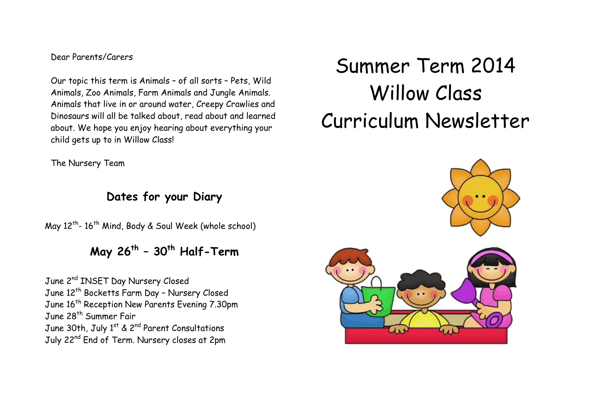# Dear Parents/Carers

Our topic this term is Animals – of all sorts – Pets, Wild Animals, Zoo Animals, Farm Animals and Jungle Animals. Animals that live in or around water, Creepy Crawlies and Dinosaurs will all be talked about, read about and learned about. We hope you enjoy hearing about everything your child gets up to in Willow Class!

The Nursery Team

# **Dates for your Diary**

May 12<sup>th</sup>- 16<sup>th</sup> Mind, Body & Soul Week (whole school)

# **May 26th – 30th Half-Term**

June 2<sup>nd</sup> INSET Day Nursery Closed June 12<sup>th</sup> Bocketts Farm Day - Nursery Closed June 16<sup>th</sup> Reception New Parents Evening 7.30pm June 28<sup>th</sup> Summer Fair June 30th, July 1<sup>st</sup> & 2<sup>nd</sup> Parent Consultations July 22<sup>nd</sup> End of Term. Nursery closes at 2pm

# Summer Term 2014 Willow Class Curriculum Newsletter